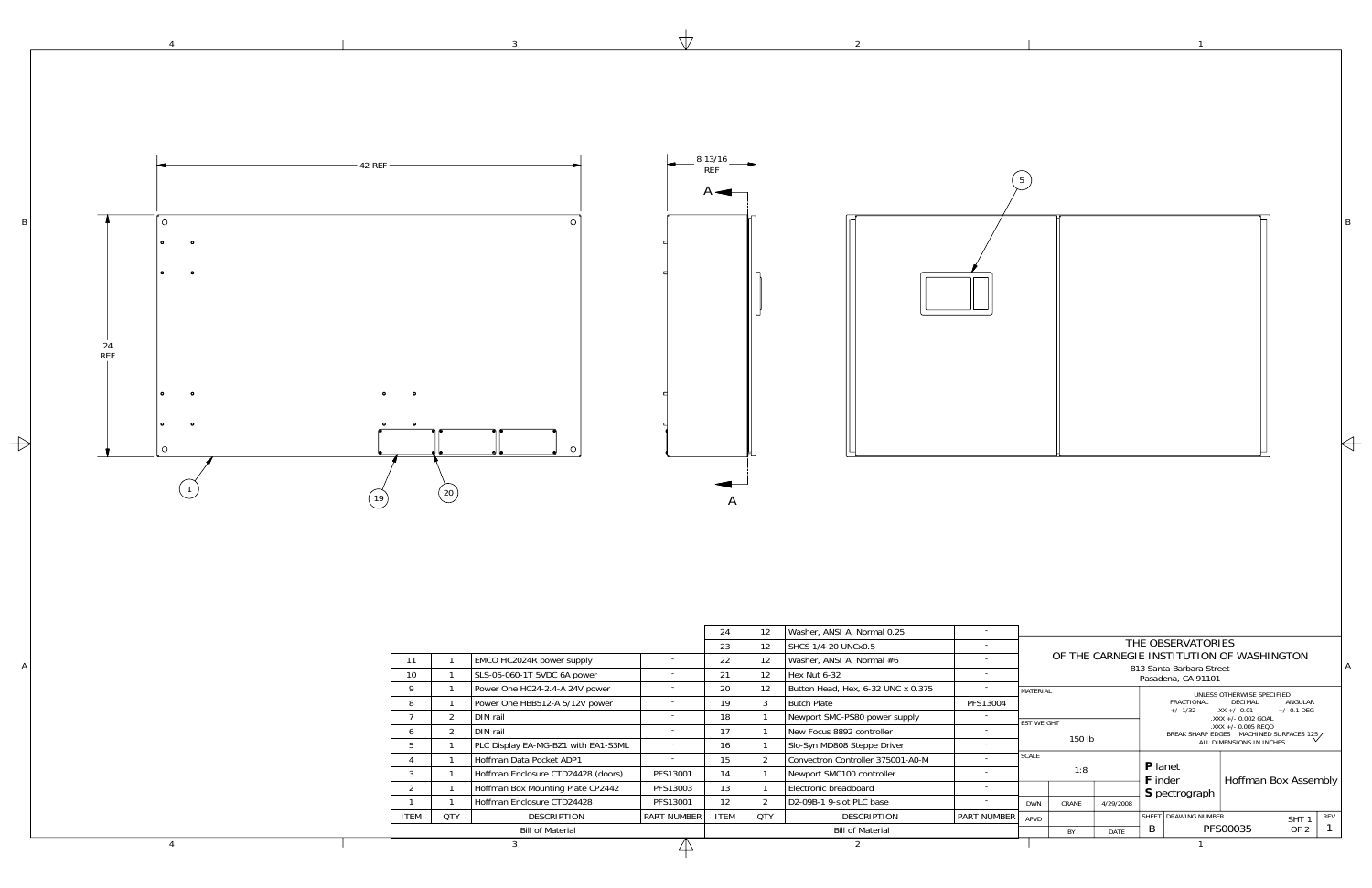3

 $\forall$ 

4

|                                         | - 42 REF                                                                                         |                                                                                                                                                                          |                                                                  | 8 13/16<br><b>REF</b><br>$A \rightarrow$ |                                     |                                                                                                                                                    |                                                      |                               |              |                                                                                                   |                                                                                                                                                   |  |
|-----------------------------------------|--------------------------------------------------------------------------------------------------|--------------------------------------------------------------------------------------------------------------------------------------------------------------------------|------------------------------------------------------------------|------------------------------------------|-------------------------------------|----------------------------------------------------------------------------------------------------------------------------------------------------|------------------------------------------------------|-------------------------------|--------------|---------------------------------------------------------------------------------------------------|---------------------------------------------------------------------------------------------------------------------------------------------------|--|
| $\circ$<br>$\bullet$<br>$\bullet$<br>24 |                                                                                                  |                                                                                                                                                                          |                                                                  |                                          |                                     |                                                                                                                                                    |                                                      |                               |              |                                                                                                   |                                                                                                                                                   |  |
| <b>REF</b>                              | (20)<br>19                                                                                       |                                                                                                                                                                          |                                                                  |                                          |                                     |                                                                                                                                                    |                                                      |                               |              |                                                                                                   |                                                                                                                                                   |  |
|                                         | 11                                                                                               | EMCO HC2024R power supply                                                                                                                                                | $\overline{\phantom{a}}$                                         | 24<br>23<br>22                           | 12<br>12<br>12                      | Washer, ANSI A, Normal 0.25<br>SHCS 1/4-20 UNCx0.5<br>Washer, ANSI A, Normal #6                                                                    | $\sim$                                               |                               |              | THE OBSERVATORIES<br>OF THE CARNEGIE INSTITUTION OF WASHINGTON                                    |                                                                                                                                                   |  |
|                                         | 10<br>9<br>8<br>- 1<br>$\overline{7}$<br>$\overline{2}$<br>6<br>$\overline{2}$                   | SLS-05-060-1T 5VDC 6A power<br>Power One HC24-2.4-A 24V power<br>Power One HBB512-A 5/12V power<br>DIN rail<br>DIN rail                                                  | $\overline{\phantom{a}}$<br>$\sim$<br>$\sim$<br>$\sim$<br>$\sim$ | 21<br>20<br>19<br>18<br>17               | 12<br>12<br>$\overline{\mathbf{3}}$ | Hex Nut 6-32<br>Button Head, Hex, 6-32 UNC x 0.375<br>Butch Plate<br>Newport SMC-PS80 power supply<br>New Focus 8892 controller                    | $\sim$ $-$<br>$\sim$<br>PFS13004<br>$\sim$<br>$\sim$ | MATERIAL<br><b>EST WEIGHT</b> | 150 lb       | 813 Santa Barbara Street<br>Pasadena, CA 91101<br>FRACTIONAL DECIMAL<br>$+/- 1/32$ $.XX +/- 0.01$ | UNLESS OTHERWISE SPECIFIED<br>ANGULAR<br>$+/- 0.1$ DEG<br>$.XXX +/- 0.002 GOAL$<br>.XXX +/- 0.005 REQD<br>BREAK SHARP EDGES MACHINED SURFACES 125 |  |
|                                         | $5\overline{5}$<br>$\overline{4}$<br>$\overline{\mathbf{3}}$<br>$\overline{c}$<br>$\overline{1}$ | PLC Display EA-MG-BZ1 with EA1-S3ML<br>Hoffman Data Pocket ADP1<br>Hoffman Enclosure CTD24428 (doors)<br>Hoffman Box Mounting Plate CP2442<br>Hoffman Enclosure CTD24428 | $\sim$<br>$\sim$<br>PFS13001<br>PFS13003<br>PFS13001             | 16<br>15<br>14<br>13<br>12               | $\overline{2}$<br>$\overline{2}$    | Slo-Syn MD808 Steppe Driver<br>Convectron Controller 375001-A0-M<br>Newport SMC100 controller<br>Electronic breadboard<br>D2-09B-1 9-slot PLC base | $\sim$<br>$\sim$<br>$\sim$<br>$\sim$<br>$\sim$       | <b>SCALE</b><br><b>DWN</b>    | 1:8<br>CRANE | P lanet<br>F inder<br>S pectrograph<br>4/29/2008<br>SHEET DRAWING NUMBER                          | Hoffman Box Assembly                                                                                                                              |  |
|                                         | <b>ITEM</b><br>QTY                                                                               | DESCRIPTION<br><b>Bill of Material</b>                                                                                                                                   | <b>PART NUMBER</b>                                               | <b>ITEM</b>                              | QTY                                 | DESCRIPTION<br><b>Bill of Material</b>                                                                                                             | <b>PART NUMBER</b>                                   | APVD                          |              | PFS00035<br>$\mathsf{B}$                                                                          | $SHT$ $1$ $REV$<br>OF 2 $\vert$ 1                                                                                                                 |  |

 $\overline{2}$ 

1